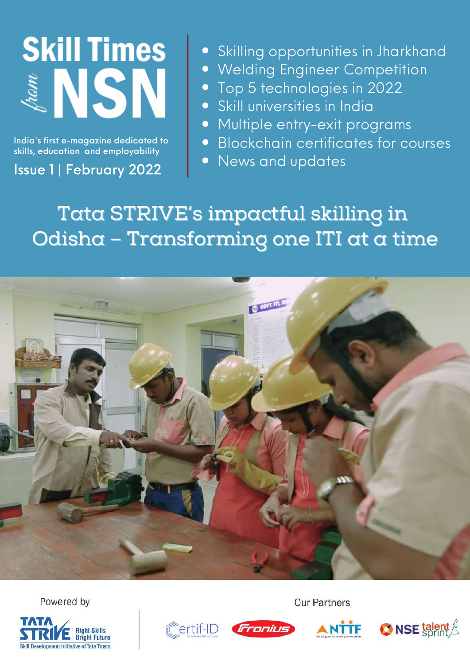

India's first e-magazine dedicated to skills, education and employability

Issue 1 | February 2022

- Skilling opportunities in Jharkhand
- Welding Engineer Competition
- Top 5 technologies in 2022
- Skill universities in India
- Multiple entry-exit programs
- Blockchain certificates for courses
- News and updates

Tata STRIVE's impactful skilling in Odisha – Transforming one ITI at a time



Powered by









**Our Partners** 

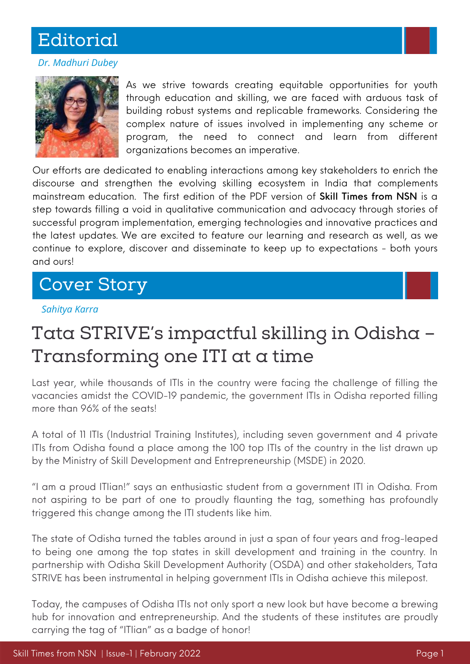## **Editorial**

#### *Dr. Madhuri Dubey*



As we strive towards creating equitable opportunities for youth through education and skilling, we are faced with arduous task of building robust systems and replicable frameworks. Considering the complex nature of issues involved in implementing any scheme or program, the need to connect and learn from different organizations becomes an imperative.

Our efforts are dedicated to enabling interactions among key stakeholders to enrich the discourse and strengthen the evolving skilling ecosystem in India that complements mainstream education. The first edition of the PDF version of Skill Times from NSN is a step towards filling a void in qualitative communication and advocacy through stories of successful program implementation, emerging technologies and innovative practices and the latest updates. We are excited to feature our learning and research as well, as we continue to explore, discover and disseminate to keep up to expectations - both yours and ours!

### Cover Story

#### *Sahitya Karra*

# Tata STRIVE's impactful skilling in Odisha – Transforming one ITI at a time

Last year, while thousands of ITIs in the country were facing the challenge of filling the vacancies amidst the COVID-19 pandemic, the government ITIs in Odisha reported filling more than 96% of the seats!

A total of 11 ITIs (Industrial Training Institutes), including seven government and 4 private ITIs from Odisha found a place among the 100 top ITIs of the country in the list drawn up by the Ministry of Skill Development and Entrepreneurship (MSDE) in 2020.

"I am a proud ITIian!" says an enthusiastic student from a government ITI in Odisha. From not aspiring to be part of one to proudly flaunting the tag, something has profoundly triggered this change among the ITI students like him.

The state of Odisha turned the tables around in just a span of four years and frog-leaped to being one among the top states in skill development and training in the country. In partnership with Odisha Skill Development Authority (OSDA) and other stakeholders, Tata STRIVE has been instrumental in helping government ITIs in Odisha achieve this milepost.

Today, the campuses of Odisha ITIs not only sport a new look but have become a brewing hub for innovation and entrepreneurship. And the students of these institutes are proudly carrying the tag of "ITIian" as a badge of honor!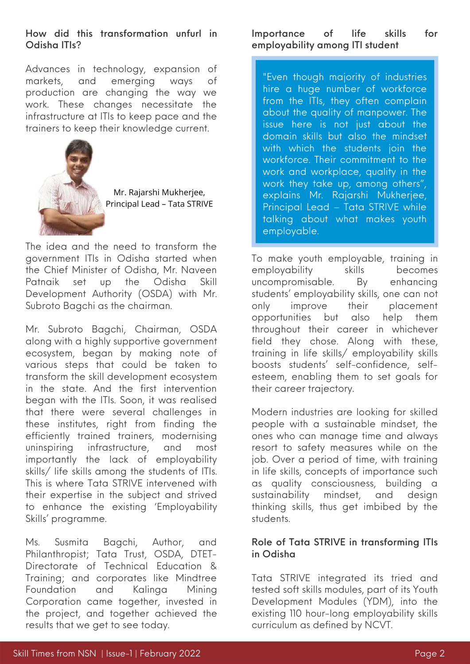#### How did this transformation unfurl in Odisha ITIs?

Advances in technology, expansion of markets, and emerging ways of production are changing the way we work. These changes necessitate the infrastructure at ITIs to keep pace and the trainers to keep their knowledge current.



Mr. Rajarshi Mukherjee, Principal Lead – Tata STRIVE

The idea and the need to transform the government ITIs in Odisha started when the Chief Minister of Odisha, Mr. Naveen Patnaik set up the Odisha Skill Development Authority (OSDA) with Mr. Subroto Bagchi as the chairman.

Mr. Subroto Bagchi, Chairman, OSDA along with a highly supportive government ecosystem, began by making note of various steps that could be taken to transform the skill development ecosystem in the state. And the first intervention began with the ITIs. Soon, it was realised that there were several challenges in these institutes, right from finding the efficiently trained trainers, modernising uninspiring infrastructure, and most importantly the lack of employability skills/ life skills among the students of ITIs. This is where Tata STRIVE intervened with their expertise in the subject and strived to enhance the existing 'Employability Skills' programme.

Ms. Susmita Bagchi, Author, and Philanthropist; Tata Trust, OSDA, DTET-Directorate of Technical Education & Training; and corporates like Mindtree Foundation and Kalinga Mining Corporation came together, invested in the project, and together achieved the results that we get to see today.

### Importance of life skills for employability among ITI student

"Even though majority of industries hire a huge number of workforce from the ITIs, they often complain about the quality of manpower. The issue here is not just about the domain skills but also the mindset with which the students join the workforce. Their commitment to the work and workplace, quality in the work they take up, among others", explains Mr. Rajarshi Mukherjee, Principal Lead – Tata STRIVE while talking about what makes youth employable.

To make youth employable, training in employability skills becomes uncompromisable. By enhancing students' employability skills, one can not only improve their placement opportunities but also help them throughout their career in whichever field they chose. Along with these, training in life skills/ employability skills boosts students' self-confidence, selfesteem, enabling them to set goals for their career trajectory.

Modern industries are looking for skilled people with a sustainable mindset, the ones who can manage time and always resort to safety measures while on the job. Over a period of time, with training in life skills, concepts of importance such as quality consciousness, building a sustainability mindset, and design thinking skills, thus get imbibed by the students.

#### Role of Tata STRIVE in transforming ITIs in Odisha

Tata STRIVE integrated its tried and tested soft skills modules, part of its Youth Development Modules (YDM), into the existing 110 hour-long employability skills curriculum as defined by NCVT.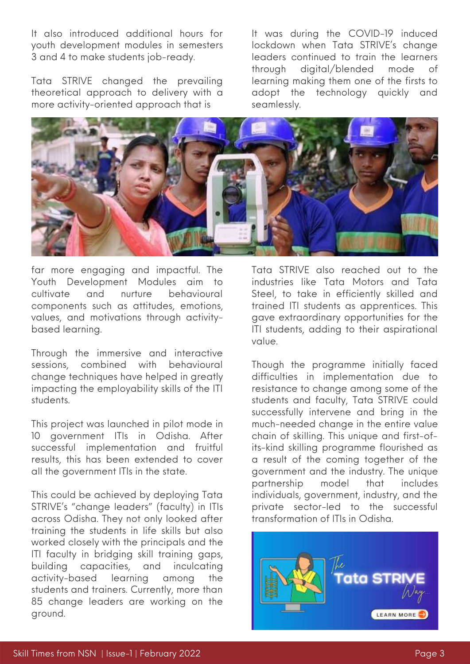It also introduced additional hours for youth development modules in semesters 3 and 4 to make students job-ready.

Tata STRIVE changed the prevailing theoretical approach to delivery with a more activity-oriented approach that is

It was during the COVID-19 induced lockdown when Tata STRIVE's change leaders continued to train the learners through digital/blended mode of learning making them one of the firsts to adopt the technology quickly and seamlessly.



far more engaging and impactful. The Youth Development Modules aim to cultivate and nurture behavioural components such as attitudes, emotions, values, and motivations through activitybased learning.

Through the immersive and interactive sessions, combined with behavioural change techniques have helped in greatly impacting the employability skills of the ITI students.

This project was launched in pilot mode in 10 government ITIs in Odisha. After successful implementation and fruitful results, this has been extended to cover all the government ITIs in the state.

This could be achieved by deploying Tata STRIVE's "change leaders" (faculty) in ITIs across Odisha. They not only looked after training the students in life skills but also worked closely with the principals and the ITI faculty in bridging skill training gaps, building capacities, and inculcating activity-based learning among the students and trainers. Currently, more than 85 change leaders are working on the ground.

Tata STRIVE also reached out to the industries like Tata Motors and Tata Steel, to take in efficiently skilled and trained ITI students as apprentices. This gave extraordinary opportunities for the ITI students, adding to their aspirational value.

Though the programme initially faced difficulties in implementation due to resistance to change among some of the students and faculty, Tata STRIVE could successfully intervene and bring in the much-needed change in the entire value chain of skilling. This unique and first-ofits-kind skilling programme flourished as a result of the coming together of the government and the industry. The unique partnership model that includes individuals, government, industry, and the private sector-led to the successful transformation of ITIs in Odisha.

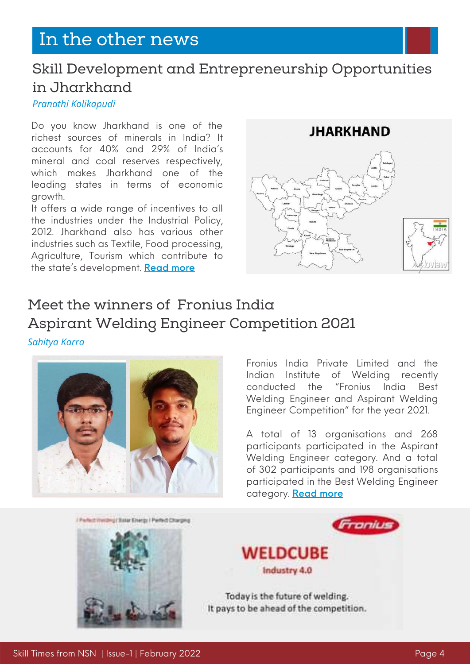## In the other news

### Skill Development and Entrepreneurship Opportunities in Jharkhand

#### *Pranathi Kolikapudi*

Do you know Jharkhand is one of the richest sources of minerals in India? It accounts for 40% and 29% of India's mineral and coal reserves respectively, which makes Jharkhand one of the leading states in terms of economic growth.

It offers a wide range of incentives to all the industries under the Industrial Policy, 2012. Jharkhand also has various other industries such as Textile, Food processing, Agriculture, Tourism which contribute to the state's development. [Read](https://www.nationalskillsnetwork.in/skill-development-and-entrepreneurship-opportunities-in-jharkhand/) more



### Meet the winners of Fronius India Aspirant Welding Engineer Competition 2021

*Sahitya Karra*



Fronius India Private Limited and the Indian Institute of Welding recently conducted the "Fronius India Best Welding Engineer and Aspirant Welding Engineer Competition" for the year 2021.

A total of 13 organisations and 268 participants participated in the Aspirant Welding Engineer category. And a total of 302 participants and 198 organisations participated in the Best Welding Engineer category. [Read](https://www.nationalskillsnetwork.in/fronius-india-best-welding-engineer-and-aspirant-welding-engineer-competition-2021/) more

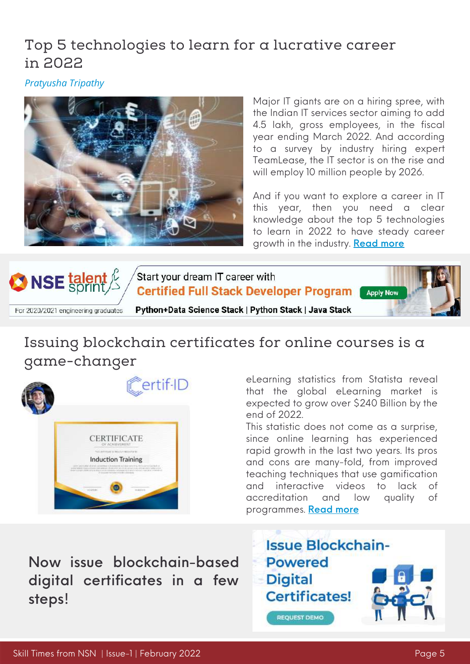### Top 5 technologies to learn for a lucrative career in 2022

*Pratyusha Tripathy*



Major IT giants are on a hiring spree, with the Indian IT services sector aiming to add 4.5 lakh, gross employees, in the fiscal year ending March 2022. And according to a survey by industry hiring expert TeamLease, the IT sector is on the rise and will employ 10 million people by 2026.

And if you want to explore a career in IT this year, then you need a clear knowledge about the top 5 technologies to learn in 2022 to have steady career growth in the industry. **[Read](https://www.nationalskillsnetwork.in/top-5-technologies-to-learn-for-a-lucrative-career-in-2022/) more** 



### Issuing blockchain certificates for online courses is a game-changer



eLearning statistics from Statista reveal that the global eLearning market is expected to grow over \$240 Billion by the end of 2022.

This statistic does not come as a surprise, since online learning has experienced rapid growth in the last two years. Its pros and cons are many-fold, from improved teaching techniques that use gamification and interactive videos to lack of accreditation and low quality of programmes. [Read](https://www.nationalskillsnetwork.in/issuing-blockchain-certificates-for-online-courses-is-a-game-changer/) more

Now issue [blockchain-based](https://certif-id.com/?utm_source=google&utm_medium=cpc&utm_campaign=certif-id_brand&utm_term=certif-id&utm_campaign=Certif-ID-Brand-Drift&utm_source=adwords&utm_medium=ppc&hsa_acc=7210230215&hsa_cam=9011558323&hsa_grp=97913992264&hsa_ad=552886552992&hsa_src=g&hsa_tgt=kwd-864876551413&hsa_kw=certif-id&hsa_mt=e&hsa_net=adwords&hsa_ver=3&gclid=Cj0KCQiAubmPBhCyARIsAJWNpiN_Y0xRTlTC-8bmx1vwJIVAdVPvqAkA6sLg5s3iEnlUGJbMqpUsbTgaAt9gEALw_wcB) digital certificates in a few steps!

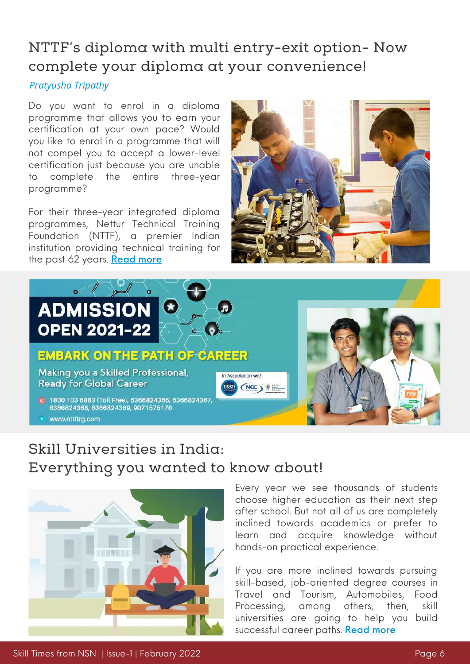### NTTF's diploma with multi entry-exit option- Now complete your diploma at your convenience!

### *Pratyusha Tripathy*

Do you want to enrol in a diploma programme that allows you to earn your certification at your own pace? Would you like to enrol in a programme that will not compel you to accept a lower-level certification just because you are unable to complete the entire three-year programme?

For their three-year integrated diploma programmes, Nettur Technical Training Foundation (NTTF), a premier Indian institution providing technical training for the past 62 years. [Read](https://www.nationalskillsnetwork.in/nttfs-diploma-with-multi-entry-exit-option-now-complete-your-diploma-at-your-convenience/) more





## Skill Universities in India: Everything you wanted to know about!



#### Every year we see thousands of students choose higher education as their next step after school. But not all of us are completely inclined towards academics or prefer to learn and acquire knowledge without hands-on practical experience.

If you are more inclined towards pursuing skill-based, job-oriented degree courses in Travel and Tourism, Automobiles, Food Processing, among others, then, skill universities are going to help you build successful career paths. [Read](https://www.nationalskillsnetwork.in/skill-university-everything-you-wanted-to-know-about/) more